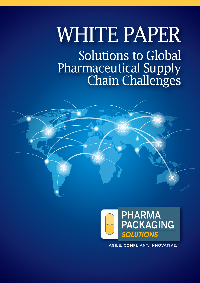# WHITE PAPER Solutions to Global Pharmaceutical Supply Chain Challenges





AGILE, COMPLIANT, INNOVATIVE.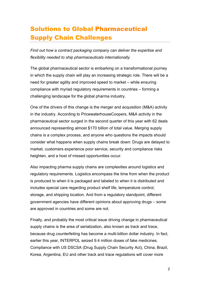## Solutions to Global Pharmaceutical Supply Chain Challenges

*Find out how a contract packaging company can deliver the expertise and flexibility needed to ship pharmaceuticals internationally.*

The global pharmaceutical sector is embarking on a transformational journey in which the supply chain will play an increasing strategic role. There will be a need for greater agility and improved speed to market – while ensuring compliance with myriad regulatory requirements in countries – forming a challenging landscape for the global pharma industry.

One of the drivers of this change is the merger and acquisition (M&A) activity in the industry. According to PricewaterhouseCoopers, M&A activity in the pharmaceutical sector surged in the second quarter of this year with 62 deals announced representing almost \$170 billion of total value. Merging supply chains is a complex process, and anyone who questions the impacts should consider what happens when supply chains break down: Drugs are delayed to market, customers experience poor service, security and compliance risks heighten, and a host of missed opportunities occur.

Also impacting pharma supply chains are complexities around logistics and regulatory requirements. Logistics encompass the time from when the product is produced to when it is packaged and labeled to when it is distributed and includes special care regarding product shelf life, temperature control, storage, and shipping location. And from a regulatory standpoint, different government agencies have different opinions about approving drugs – some are approved in countries and some are not.

Finally, and probably the most critical issue driving change in pharmaceutical supply chains is the area of serialization, also known as track and trace, because drug counterfeiting has become a multi-billion dollar industry. In fact, earlier this year, INTERPOL seized 9.4 million doses of fake medicines. Compliance with US DSCSA (Drug Supply Chain Security Act), China, Brazil, Korea, Argentina, EU and other track and trace regulations will cover more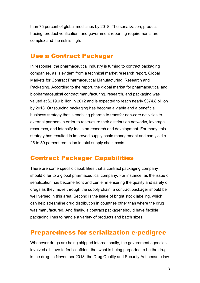than 75 percent of global medicines by 2018. The serialization, product tracing, product verification, and government reporting requirements are complex and the risk is high.

#### Use a Contract Packager

In response, the pharmaceutical industry is turning to contract packaging companies, as is evident from a technical market research report, Global Markets for Contract Pharmaceutical Manufacturing, Research and Packaging. According to the report, the global market for pharmaceutical and biopharmaceutical contract manufacturing, research, and packaging was valued at \$219.9 billion in 2012 and is expected to reach nearly \$374.8 billion by 2018. Outsourcing packaging has become a viable and a beneficial business strategy that is enabling pharma to transfer non-core activities to external partners in order to restructure their distribution networks, leverage resources, and intensify focus on research and development. For many, this strategy has resulted in improved supply chain management and can yield a 25 to 50 percent reduction in total supply chain costs.

### Contract Packager Capabilities

There are some specific capabilities that a contract packaging company should offer to a global pharmaceutical company. For instance, as the issue of serialization has become front and center in ensuring the quality and safety of drugs as they move through the supply chain, a contract packager should be well versed in this area. Second is the issue of bright stock labeling, which can help streamline drug distribution in countries other than where the drug was manufactured. And finally, a contract packager should have flexible packaging lines to handle a variety of products and batch sizes.

#### Preparedness for serialization e-pedigree

Whenever drugs are being shipped internationally, the government agencies involved all have to feel confident that what is being purported to be the drug is the drug. In November 2013, the Drug Quality and Security Act became law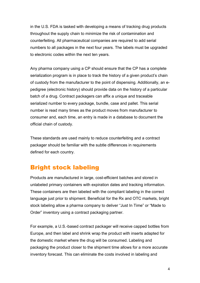in the U.S. FDA is tasked with developing a means of tracking drug products throughout the supply chain to minimize the risk of contamination and counterfeiting. All pharmaceutical companies are required to add serial numbers to all packages in the next four years. The labels must be upgraded to electronic codes within the next ten years.

Any pharma company using a CP should ensure that the CP has a complete serialization program is in place to track the history of a given product's chain of custody from the manufacturer to the point of dispensing. Additionally, an epedigree (electronic history) should provide data on the history of a particular batch of a drug. Contract packagers can affix a unique and traceable serialized number to every package, bundle, case and pallet. This serial number is read many times as the product moves from manufacturer to consumer and, each time, an entry is made in a database to document the official chain of custody.

These standards are used mainly to reduce counterfeiting and a contract packager should be familiar with the subtle differences in requirements defined for each country.

### Bright stock labeling

Products are manufactured in large, cost-efficient batches and stored in unlabeled primary containers with expiration dates and tracking information. These containers are then labeled with the compliant labeling in the correct language just prior to shipment. Beneficial for the Rx and OTC markets, bright stock labeling allow a pharma company to deliver "Just In Time" or "Made to Order" inventory using a contract packaging partner.

For example, a U.S.-based contract packager will receive capped bottles from Europe, and then label and shrink wrap the product with inserts adapted for the domestic market where the drug will be consumed. Labeling and packaging the product closer to the shipment time allows for a more accurate inventory forecast. This can eliminate the costs involved in labeling and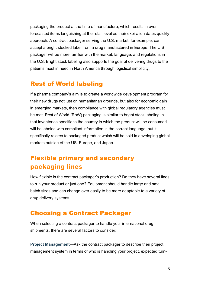packaging the product at the time of manufacture, which results in overforecasted items languishing at the retail level as their expiration dates quickly approach. A contract packager serving the U.S. market, for example, can accept a bright stocked label from a drug manufactured in Europe. The U.S. packager will be more familiar with the market, language, and regulations in the U.S. Bright stock labeling also supports the goal of delivering drugs to the patients most in need in North America through logistical simplicity.

### Rest of World labeling

If a pharma company's aim is to create a worldwide development program for their new drugs not just on humanitarian grounds, but also for economic gain in emerging markets, then compliance with global regulatory agencies must be met. Rest of World (RoW) packaging is similar to bright stock labeling in that inventories specific to the country in which the product will be consumed will be labeled with compliant information in the correct language, but it specifically relates to packaged product which will be sold in developing global markets outside of the US, Europe, and Japan.

## Flexible primary and secondary packaging lines

How flexible is the contract packager's production? Do they have several lines to run your product or just one? Equipment should handle large and small batch sizes and can change over easily to be more adaptable to a variety of drug delivery systems.

## Choosing a Contract Packager

When selecting a contract packager to handle your international drug shipments, there are several factors to consider:

**Project Management**—Ask the contract packager to describe their project management system in terms of who is handling your project, expected turn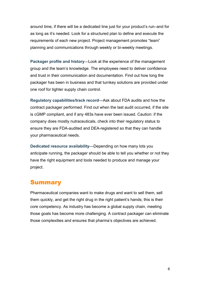around time, if there will be a dedicated line just for your product's run–and for as long as it's needed. Look for a structured plan to define and execute the requirements of each new project. Project management promotes "team" planning and communications through weekly or bi-weekly meetings.

**Packager profile and history**—Look at the experience of the management group and the team's knowledge. The employees need to deliver confidence and trust in their communication and documentation. Find out how long the packager has been in business and that turnkey solutions are provided under one roof for tighter supply chain control.

**Regulatory capabilities/track record**—Ask about FDA audits and how the contract packager performed. Find out when the last audit occurred, if the site is cGMP compliant, and if any 483s have ever been issued. Caution: if the company does mostly nutraceuticals, check into their regulatory status to ensure they are FDA-audited and DEA-registered so that they can handle your pharmaceutical needs.

**Dedicated resource availability**—Depending on how many lots you anticipate running, the packager should be able to tell you whether or not they have the right equipment and tools needed to produce and manage your project.

#### Summary

Pharmaceutical companies want to make drugs and want to sell them, sell them quickly, and get the right drug in the right patient's hands; this is their core competency. As industry has become a global supply chain, meeting those goals has become more challenging. A contract packager can eliminate those complexities and ensures that pharma's objectives are achieved.